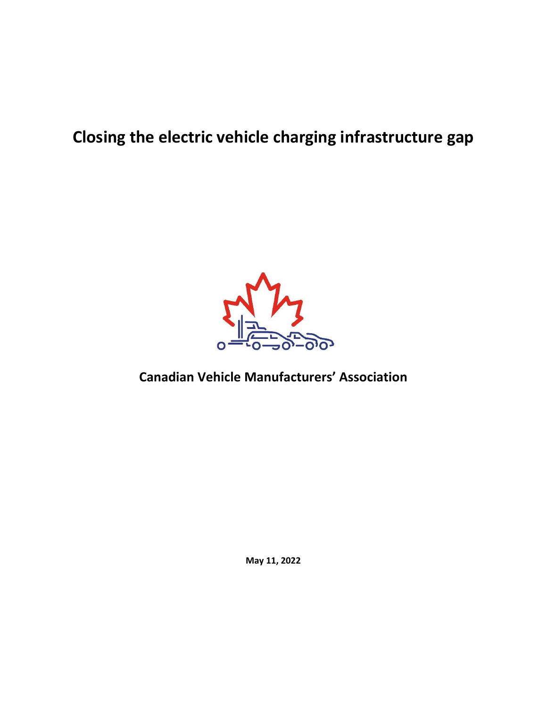# **Closing the electric vehicle charging infrastructure gap**



# **Canadian Vehicle Manufacturers' Association**

**May 11, 2022**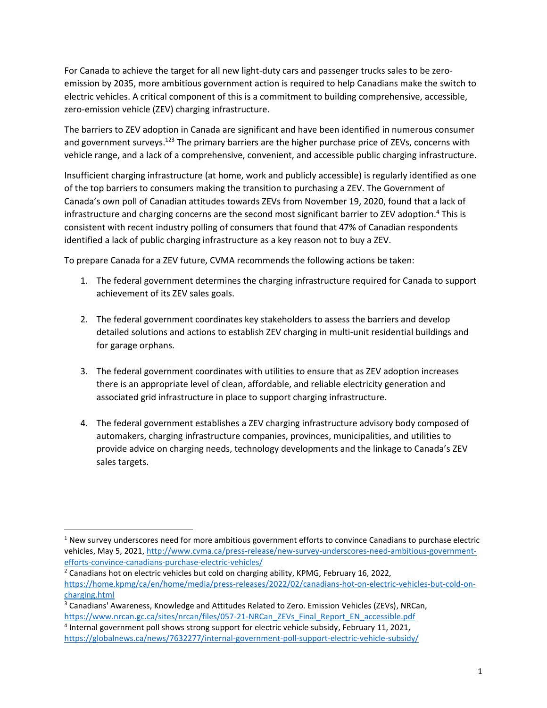For Canada to achieve the target for all new light-duty cars and passenger trucks sales to be zeroemission by 2035, more ambitious government action is required to help Canadians make the switch to electric vehicles. A critical component of this is a commitment to building comprehensive, accessible, zero-emission vehicle (ZEV) charging infrastructure.

The barriers to ZEV adoption in Canada are significant and have been identified in numerous consumer and government surveys.<sup>123</sup> The primary barriers are the higher purchase price of ZEVs, concerns with vehicle range, and a lack of a comprehensive, convenient, and accessible public charging infrastructure.

Insufficient charging infrastructure (at home, work and publicly accessible) is regularly identified as one of the top barriers to consumers making the transition to purchasing a ZEV. The Government of Canada's own poll of Canadian attitudes towards ZEVs from November 19, 2020, found that a lack of infrastructure and charging concerns are the second most significant barrier to ZEV adoption. <sup>4</sup> This is consistent with recent industry polling of consumers that found that 47% of Canadian respondents identified a lack of public charging infrastructure as a key reason not to buy a ZEV.

To prepare Canada for a ZEV future, CVMA recommends the following actions be taken:

- 1. The federal government determines the charging infrastructure required for Canada to support achievement of its ZEV sales goals.
- 2. The federal government coordinates key stakeholders to assess the barriers and develop detailed solutions and actions to establish ZEV charging in multi-unit residential buildings and for garage orphans.
- 3. The federal government coordinates with utilities to ensure that as ZEV adoption increases there is an appropriate level of clean, affordable, and reliable electricity generation and associated grid infrastructure in place to support charging infrastructure.
- 4. The federal government establishes a ZEV charging infrastructure advisory body composed of automakers, charging infrastructure companies, provinces, municipalities, and utilities to provide advice on charging needs, technology developments and the linkage to Canada's ZEV sales targets.

 $1$  New survey underscores need for more ambitious government efforts to convince Canadians to purchase electric vehicles, May 5, 2021, [http://www.cvma.ca/press-release/new-survey-underscores-need-ambitious-government](http://www.cvma.ca/press-release/new-survey-underscores-need-ambitious-government-efforts-convince-canadians-purchase-electric-vehicles/)[efforts-convince-canadians-purchase-electric-vehicles/](http://www.cvma.ca/press-release/new-survey-underscores-need-ambitious-government-efforts-convince-canadians-purchase-electric-vehicles/)

 $2$  Canadians hot on electric vehicles but cold on charging ability, KPMG, February 16, 2022, [https://home.kpmg/ca/en/home/media/press-releases/2022/02/canadians-hot-on-electric-vehicles-but-cold-on](https://home.kpmg/ca/en/home/media/press-releases/2022/02/canadians-hot-on-electric-vehicles-but-cold-on-charging.html)[charging.html](https://home.kpmg/ca/en/home/media/press-releases/2022/02/canadians-hot-on-electric-vehicles-but-cold-on-charging.html)

<sup>&</sup>lt;sup>3</sup> Canadians' Awareness, Knowledge and Attitudes Related to Zero. Emission Vehicles (ZEVs), NRCan, [https://www.nrcan.gc.ca/sites/nrcan/files/057-21-NRCan\\_ZEVs\\_Final\\_Report\\_EN\\_accessible.pdf](https://www.nrcan.gc.ca/sites/nrcan/files/057-21-NRCan_ZEVs_Final_Report_EN_accessible.pdf)

<sup>&</sup>lt;sup>4</sup> Internal government poll shows strong support for electric vehicle subsidy, February 11, 2021, <https://globalnews.ca/news/7632277/internal-government-poll-support-electric-vehicle-subsidy/>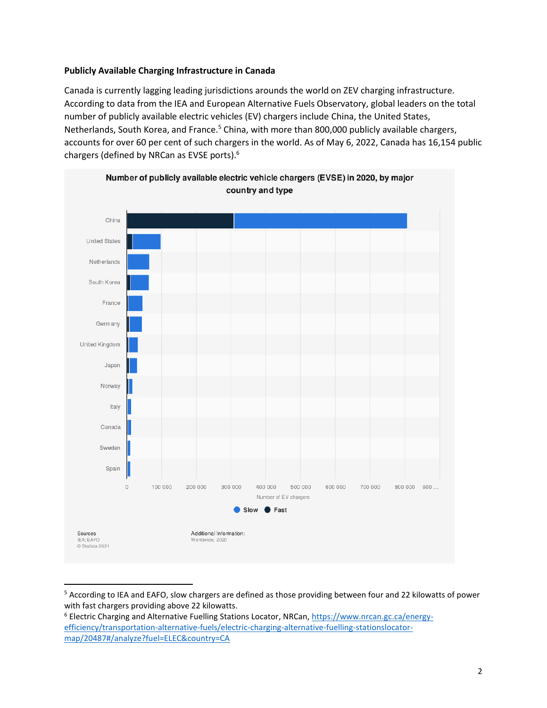#### **Publicly Available Charging Infrastructure in Canada**

Canada is currently lagging leading jurisdictions arounds the world on ZEV charging infrastructure. According to data from the IEA and European Alternative Fuels Observatory, global leaders on the total number of publicly available electric vehicles (EV) chargers include China, the United States, Netherlands, South Korea, and France.<sup>5</sup> China, with more than 800,000 publicly available chargers, accounts for over 60 per cent of such chargers in the world. As of May 6, 2022, Canada has 16,154 public chargers (defined by NRCan as EVSE ports). 6



<sup>5</sup> According to IEA and EAFO, slow chargers are defined as those providing between four and 22 kilowatts of power with fast chargers providing above 22 kilowatts.

<sup>6</sup> Electric Charging and Alternative Fuelling Stations Locator, NRCan, [https://www.nrcan.gc.ca/energy](https://www.nrcan.gc.ca/energy-efficiency/transportation-alternative-fuels/electric-charging-alternative-fuelling-stationslocator-map/20487#/analyze?fuel=ELEC&country=CA)[efficiency/transportation-alternative-fuels/electric-charging-alternative-fuelling-stationslocator](https://www.nrcan.gc.ca/energy-efficiency/transportation-alternative-fuels/electric-charging-alternative-fuelling-stationslocator-map/20487#/analyze?fuel=ELEC&country=CA)[map/20487#/analyze?fuel=ELEC&country=CA](https://www.nrcan.gc.ca/energy-efficiency/transportation-alternative-fuels/electric-charging-alternative-fuelling-stationslocator-map/20487#/analyze?fuel=ELEC&country=CA)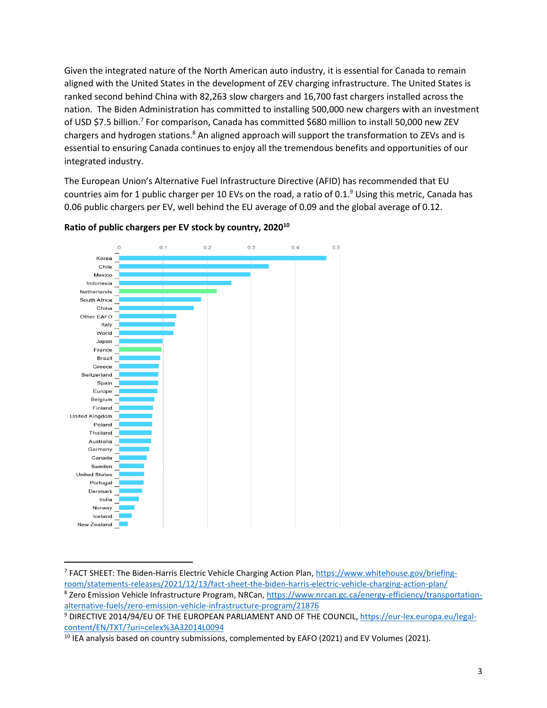Given the integrated nature of the North American auto industry, it is essential for Canada to remain aligned with the United States in the development of ZEV charging infrastructure. The United States is ranked second behind China with 82,263 slow chargers and 16,700 fast chargers installed across the nation. The Biden Administration has committed to installing 500,000 new chargers with an investment of USD \$7.5 billion.<sup>7</sup> For comparison, Canada has committed \$680 million to install 50,000 new ZEV chargers and hydrogen stations.<sup>8</sup> An aligned approach will support the transformation to ZEVs and is essential to ensuring Canada continues to enjoy all the tremendous benefits and opportunities of our integrated industry.

The European Union's Alternative Fuel Infrastructure Directive (AFID) has recommended that EU countries aim for 1 public charger per 10 EVs on the road, a ratio of 0.1.<sup>9</sup> Using this metric, Canada has 0.06 public chargers per EV, well behind the EU average of 0.09 and the global average of 0.12.



#### **Ratio of public chargers per EV stock by country, 2020<sup>10</sup>**

<sup>&</sup>lt;sup>7</sup> FACT SHEET: The Biden-Harris Electric Vehicle Charging Action Plan[, https://www.whitehouse.gov/briefing](https://www.whitehouse.gov/briefing-room/statements-releases/2021/12/13/fact-sheet-the-biden-harris-electric-vehicle-charging-action-plan/)[room/statements-releases/2021/12/13/fact-sheet-the-biden-harris-electric-vehicle-charging-action-plan/](https://www.whitehouse.gov/briefing-room/statements-releases/2021/12/13/fact-sheet-the-biden-harris-electric-vehicle-charging-action-plan/)

<sup>&</sup>lt;sup>8</sup> Zero Emission Vehicle Infrastructure Program, NRCan[, https://www.nrcan.gc.ca/energy-efficiency/transportation](https://www.nrcan.gc.ca/energy-efficiency/transportation-alternative-fuels/zero-emission-vehicle-infrastructure-program/21876)[alternative-fuels/zero-emission-vehicle-infrastructure-program/21876](https://www.nrcan.gc.ca/energy-efficiency/transportation-alternative-fuels/zero-emission-vehicle-infrastructure-program/21876)

<sup>9</sup> DIRECTIVE 2014/94/EU OF THE EUROPEAN PARLIAMENT AND OF THE COUNCIL[, https://eur-lex.europa.eu/legal](https://eur-lex.europa.eu/legal-content/EN/TXT/?uri=celex%3A32014L0094)[content/EN/TXT/?uri=celex%3A32014L0094](https://eur-lex.europa.eu/legal-content/EN/TXT/?uri=celex%3A32014L0094)

<sup>&</sup>lt;sup>10</sup> IEA analysis based on country submissions, complemented by EAFO (2021) and EV Volumes (2021).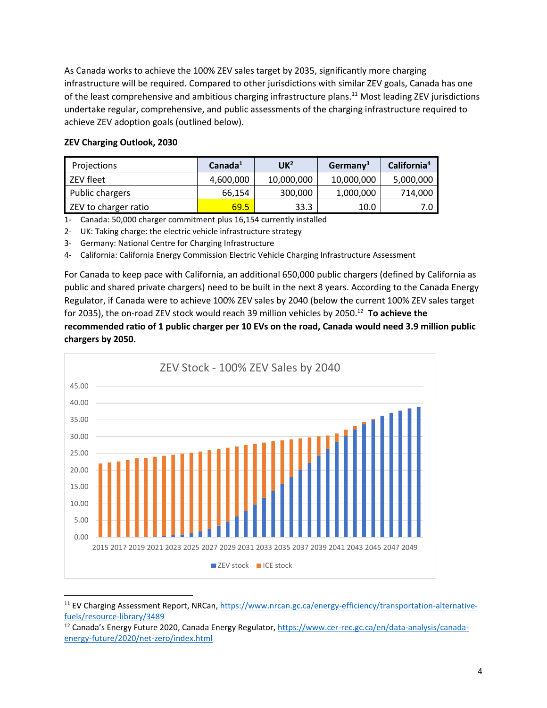As Canada works to achieve the 100% ZEV sales target by 2035, significantly more charging infrastructure will be required. Compared to other jurisdictions with similar ZEV goals, Canada has one of the least comprehensive and ambitious charging infrastructure plans.<sup>11</sup> Most leading ZEV jurisdictions undertake regular, comprehensive, and public assessments of the charging infrastructure required to achieve ZEV adoption goals (outlined below).

## **ZEV Charging Outlook, 2030**

| Projections          | Canada <sup>1</sup> | $\mathsf{UK}^2$ | Germany <sup>3</sup> | California <sup>4</sup> |
|----------------------|---------------------|-----------------|----------------------|-------------------------|
| ZEV fleet            | 4,600,000           | 10,000,000      | 10,000,000           | 5,000,000               |
| Public chargers      | 66.154              | 300,000         | 1,000,000            | 714,000                 |
| ZEV to charger ratio | 69.5                | 33.3            | 10.0                 | 7.0                     |

1- Canada: 50,000 charger commitment plus 16,154 currently installed

2- UK: Taking charge: the electric vehicle infrastructure strategy

3- Germany: National Centre for Charging Infrastructure

4- California: California Energy Commission Electric Vehicle Charging Infrastructure Assessment

For Canada to keep pace with California, an additional 650,000 public chargers (defined by California as public and shared private chargers) need to be built in the next 8 years. According to the Canada Energy Regulator, if Canada were to achieve 100% ZEV sales by 2040 (below the current 100% ZEV sales target for 2035), the on-road ZEV stock would reach 39 million vehicles by 2050. <sup>12</sup> **To achieve the recommended ratio of 1 public charger per 10 EVs on the road, Canada would need 3.9 million public chargers by 2050.** 



<sup>11</sup> EV Charging Assessment Report, NRCan[, https://www.nrcan.gc.ca/energy-efficiency/transportation-alternative](https://www.nrcan.gc.ca/energy-efficiency/transportation-alternative-fuels/resource-library/3489)[fuels/resource-library/3489](https://www.nrcan.gc.ca/energy-efficiency/transportation-alternative-fuels/resource-library/3489)

<sup>&</sup>lt;sup>12</sup> Canada's Energy Future 2020, Canada Energy Regulator, [https://www.cer-rec.gc.ca/en/data-analysis/canada](https://www.cer-rec.gc.ca/en/data-analysis/canada-energy-future/2020/net-zero/index.html)[energy-future/2020/net-zero/index.html](https://www.cer-rec.gc.ca/en/data-analysis/canada-energy-future/2020/net-zero/index.html)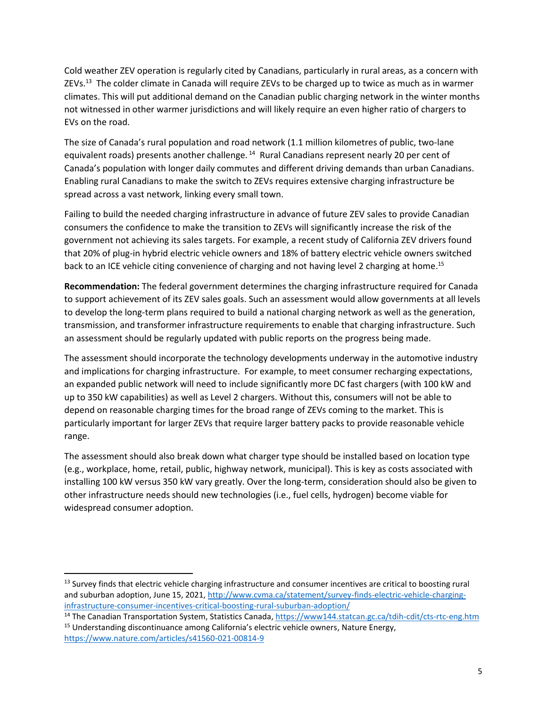Cold weather ZEV operation is regularly cited by Canadians, particularly in rural areas, as a concern with ZEVs.<sup>13</sup> The colder climate in Canada will require ZEVs to be charged up to twice as much as in warmer climates. This will put additional demand on the Canadian public charging network in the winter months not witnessed in other warmer jurisdictions and will likely require an even higher ratio of chargers to EVs on the road.

The size of Canada's rural population and road network (1.1 million kilometres of public, two-lane equivalent roads) presents another challenge.<sup>14</sup> Rural Canadians represent nearly 20 per cent of Canada's population with longer daily commutes and different driving demands than urban Canadians. Enabling rural Canadians to make the switch to ZEVs requires extensive charging infrastructure be spread across a vast network, linking every small town.

Failing to build the needed charging infrastructure in advance of future ZEV sales to provide Canadian consumers the confidence to make the transition to ZEVs will significantly increase the risk of the government not achieving its sales targets. For example, a recent study of California ZEV drivers found that 20% of plug-in hybrid electric vehicle owners and 18% of battery electric vehicle owners switched back to an ICE vehicle citing convenience of charging and not having level 2 charging at home.<sup>15</sup>

**Recommendation:** The federal government determines the charging infrastructure required for Canada to support achievement of its ZEV sales goals. Such an assessment would allow governments at all levels to develop the long-term plans required to build a national charging network as well as the generation, transmission, and transformer infrastructure requirements to enable that charging infrastructure. Such an assessment should be regularly updated with public reports on the progress being made.

The assessment should incorporate the technology developments underway in the automotive industry and implications for charging infrastructure. For example, to meet consumer recharging expectations, an expanded public network will need to include significantly more DC fast chargers (with 100 kW and up to 350 kW capabilities) as well as Level 2 chargers. Without this, consumers will not be able to depend on reasonable charging times for the broad range of ZEVs coming to the market. This is particularly important for larger ZEVs that require larger battery packs to provide reasonable vehicle range.

The assessment should also break down what charger type should be installed based on location type (e.g., workplace, home, retail, public, highway network, municipal). This is key as costs associated with installing 100 kW versus 350 kW vary greatly. Over the long-term, consideration should also be given to other infrastructure needs should new technologies (i.e., fuel cells, hydrogen) become viable for widespread consumer adoption.

<sup>&</sup>lt;sup>13</sup> Survey finds that electric vehicle charging infrastructure and consumer incentives are critical to boosting rural and suburban adoption, June 15, 2021[, http://www.cvma.ca/statement/survey-finds-electric-vehicle-charging](http://www.cvma.ca/statement/survey-finds-electric-vehicle-charging-infrastructure-consumer-incentives-critical-boosting-rural-suburban-adoption/)[infrastructure-consumer-incentives-critical-boosting-rural-suburban-adoption/](http://www.cvma.ca/statement/survey-finds-electric-vehicle-charging-infrastructure-consumer-incentives-critical-boosting-rural-suburban-adoption/)

<sup>&</sup>lt;sup>14</sup> The Canadian Transportation System, Statistics Canada[, https://www144.statcan.gc.ca/tdih-cdit/cts-rtc-eng.htm](https://www144.statcan.gc.ca/tdih-cdit/cts-rtc-eng.htm) <sup>15</sup> Understanding discontinuance among California's electric vehicle owners, Nature Energy, <https://www.nature.com/articles/s41560-021-00814-9>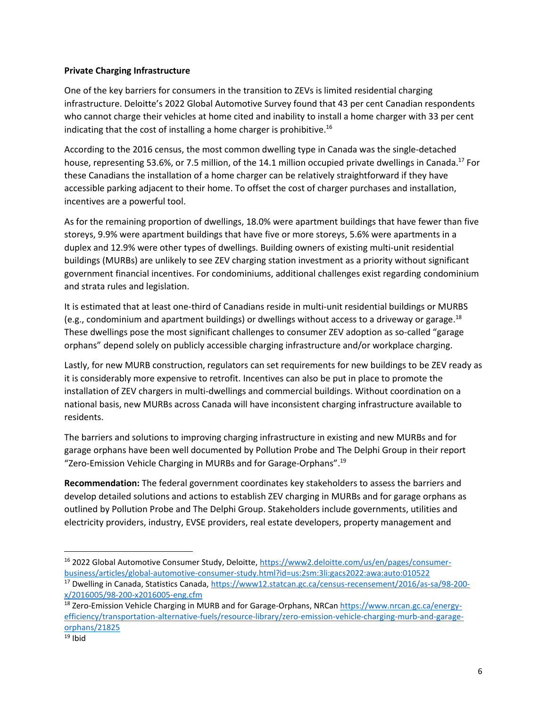#### **Private Charging Infrastructure**

One of the key barriers for consumers in the transition to ZEVs is limited residential charging infrastructure. Deloitte's 2022 Global Automotive Survey found that 43 per cent Canadian respondents who cannot charge their vehicles at home cited and inability to install a home charger with 33 per cent indicating that the cost of installing a home charger is prohibitive.<sup>16</sup>

According to the 2016 census, the most common dwelling type in Canada was the single-detached house, representing 53.6%, or 7.5 million, of the 14.1 million occupied private dwellings in Canada.<sup>17</sup> For these Canadians the installation of a home charger can be relatively straightforward if they have accessible parking adjacent to their home. To offset the cost of charger purchases and installation, incentives are a powerful tool.

As for the remaining proportion of dwellings, 18.0% were apartment buildings that have fewer than five storeys, 9.9% were apartment buildings that have five or more storeys, 5.6% were apartments in a duplex and 12.9% were other types of dwellings. Building owners of existing multi-unit residential buildings (MURBs) are unlikely to see ZEV charging station investment as a priority without significant government financial incentives. For condominiums, additional challenges exist regarding condominium and strata rules and legislation.

It is estimated that at least one-third of Canadians reside in multi-unit residential buildings or MURBS (e.g., condominium and apartment buildings) or dwellings without access to a driveway or garage.<sup>18</sup> These dwellings pose the most significant challenges to consumer ZEV adoption as so-called "garage orphans" depend solely on publicly accessible charging infrastructure and/or workplace charging.

Lastly, for new MURB construction, regulators can set requirements for new buildings to be ZEV ready as it is considerably more expensive to retrofit. Incentives can also be put in place to promote the installation of ZEV chargers in multi-dwellings and commercial buildings. Without coordination on a national basis, new MURBs across Canada will have inconsistent charging infrastructure available to residents.

The barriers and solutions to improving charging infrastructure in existing and new MURBs and for garage orphans have been well documented by Pollution Probe and The Delphi Group in their report "Zero-Emission Vehicle Charging in MURBs and for Garage-Orphans". 19

**Recommendation:** The federal government coordinates key stakeholders to assess the barriers and develop detailed solutions and actions to establish ZEV charging in MURBs and for garage orphans as outlined by Pollution Probe and The Delphi Group. Stakeholders include governments, utilities and electricity providers, industry, EVSE providers, real estate developers, property management and

<sup>&</sup>lt;sup>16</sup> 2022 Global Automotive Consumer Study, Deloitte, [https://www2.deloitte.com/us/en/pages/consumer](https://www2.deloitte.com/us/en/pages/consumer-business/articles/global-automotive-consumer-study.html?id=us:2sm:3li:gacs2022:awa:auto:010522)[business/articles/global-automotive-consumer-study.html?id=us:2sm:3li:gacs2022:awa:auto:010522](https://www2.deloitte.com/us/en/pages/consumer-business/articles/global-automotive-consumer-study.html?id=us:2sm:3li:gacs2022:awa:auto:010522)

<sup>&</sup>lt;sup>17</sup> Dwelling in Canada, Statistics Canada, [https://www12.statcan.gc.ca/census-recensement/2016/as-sa/98-200](https://www12.statcan.gc.ca/census-recensement/2016/as-sa/98-200-x/2016005/98-200-x2016005-eng.cfm) [x/2016005/98-200-x2016005-eng.cfm](https://www12.statcan.gc.ca/census-recensement/2016/as-sa/98-200-x/2016005/98-200-x2016005-eng.cfm)

<sup>&</sup>lt;sup>18</sup> Zero-Emission Vehicle Charging in MURB and for Garage-Orphans, NRCan [https://www.nrcan.gc.ca/energy](https://www.nrcan.gc.ca/energy-efficiency/transportation-alternative-fuels/resource-library/zero-emission-vehicle-charging-murb-and-garage-orphans/21825)[efficiency/transportation-alternative-fuels/resource-library/zero-emission-vehicle-charging-murb-and-garage](https://www.nrcan.gc.ca/energy-efficiency/transportation-alternative-fuels/resource-library/zero-emission-vehicle-charging-murb-and-garage-orphans/21825)[orphans/21825](https://www.nrcan.gc.ca/energy-efficiency/transportation-alternative-fuels/resource-library/zero-emission-vehicle-charging-murb-and-garage-orphans/21825)

 $19$  Ibid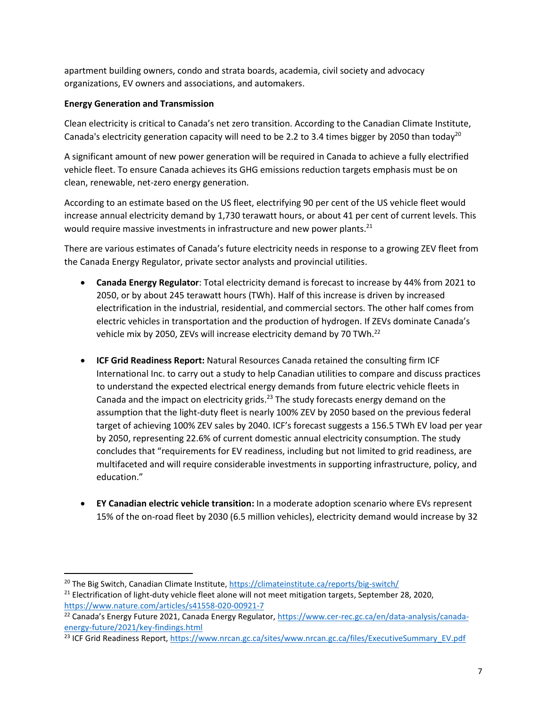apartment building owners, condo and strata boards, academia, civil society and advocacy organizations, EV owners and associations, and automakers.

# **Energy Generation and Transmission**

Clean electricity is critical to Canada's net zero transition. According to the Canadian Climate Institute, Canada's electricity generation capacity will need to be 2.2 to 3.4 times bigger by 2050 than today<sup>20</sup>

A significant amount of new power generation will be required in Canada to achieve a fully electrified vehicle fleet. To ensure Canada achieves its GHG emissions reduction targets emphasis must be on clean, renewable, net-zero energy generation.

According to an estimate based on the US fleet, electrifying 90 per cent of the US vehicle fleet would increase annual electricity demand by 1,730 terawatt hours, or about 41 per cent of current levels. This would require massive investments in infrastructure and new power plants.<sup>21</sup>

There are various estimates of Canada's future electricity needs in response to a growing ZEV fleet from the Canada Energy Regulator, private sector analysts and provincial utilities.

- **Canada Energy Regulator**: Total electricity demand is forecast to increase by 44% from 2021 to 2050, or by about 245 terawatt hours (TWh). Half of this increase is driven by increased electrification in the industrial, residential, and commercial sectors. The other half comes from electric vehicles in transportation and the production of hydrogen. If ZEVs dominate Canada's vehicle mix by 2050, ZEVs will increase electricity demand by 70 TWh.<sup>22</sup>
- **ICF Grid Readiness Report:** Natural Resources Canada retained the consulting firm ICF International Inc. to carry out a study to help Canadian utilities to compare and discuss practices to understand the expected electrical energy demands from future electric vehicle fleets in Canada and the impact on electricity grids.<sup>23</sup> The study forecasts energy demand on the assumption that the light-duty fleet is nearly 100% ZEV by 2050 based on the previous federal target of achieving 100% ZEV sales by 2040. ICF's forecast suggests a 156.5 TWh EV load per year by 2050, representing 22.6% of current domestic annual electricity consumption. The study concludes that "requirements for EV readiness, including but not limited to grid readiness, are multifaceted and will require considerable investments in supporting infrastructure, policy, and education."
- **EY Canadian electric vehicle transition:** In a moderate adoption scenario where EVs represent 15% of the on-road fleet by 2030 (6.5 million vehicles), electricity demand would increase by 32

<sup>&</sup>lt;sup>20</sup> The Big Switch, Canadian Climate Institute,<https://climateinstitute.ca/reports/big-switch/>

<sup>&</sup>lt;sup>21</sup> Electrification of light-duty vehicle fleet alone will not meet mitigation targets, September 28, 2020, <https://www.nature.com/articles/s41558-020-00921-7>

<sup>&</sup>lt;sup>22</sup> Canada's Energy Future 2021, Canada Energy Regulator, [https://www.cer-rec.gc.ca/en/data-analysis/canada](https://www.cer-rec.gc.ca/en/data-analysis/canada-energy-future/2021/key-findings.html)[energy-future/2021/key-findings.html](https://www.cer-rec.gc.ca/en/data-analysis/canada-energy-future/2021/key-findings.html)

<sup>&</sup>lt;sup>23</sup> ICF Grid Readiness Report[, https://www.nrcan.gc.ca/sites/www.nrcan.gc.ca/files/ExecutiveSummary\\_EV.pdf](https://www.nrcan.gc.ca/sites/www.nrcan.gc.ca/files/ExecutiveSummary_EV.pdf)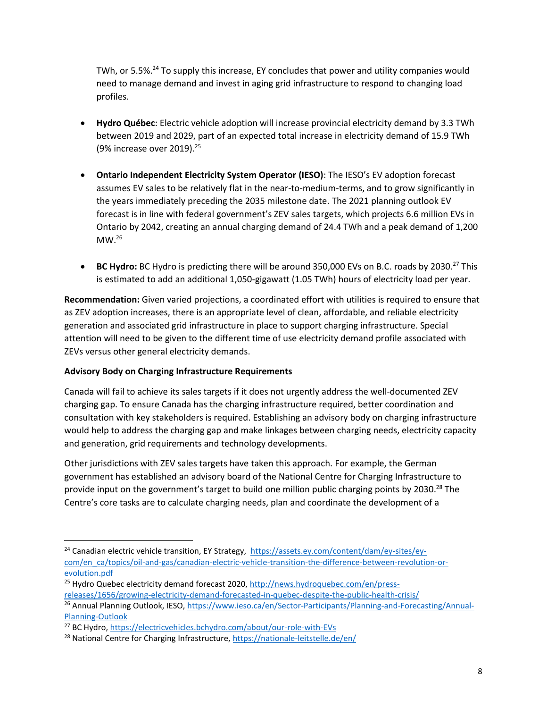TWh, or 5.5%.<sup>24</sup> To supply this increase, EY concludes that power and utility companies would need to manage demand and invest in aging grid infrastructure to respond to changing load profiles.

- **Hydro Québec**: Electric vehicle adoption will increase provincial electricity demand by 3.3 TWh between 2019 and 2029, part of an expected total increase in electricity demand of 15.9 TWh (9% increase over 2019). 25
- **Ontario Independent Electricity System Operator (IESO)**: The IESO's EV adoption forecast assumes EV sales to be relatively flat in the near-to-medium-terms, and to grow significantly in the years immediately preceding the 2035 milestone date. The 2021 planning outlook EV forecast is in line with federal government's ZEV sales targets, which projects 6.6 million EVs in Ontario by 2042, creating an annual charging demand of 24.4 TWh and a peak demand of 1,200  $MW.<sup>26</sup>$
- BC Hydro: BC Hydro is predicting there will be around 350,000 EVs on B.C. roads by 2030.<sup>27</sup> This is estimated to add an additional 1,050-gigawatt (1.05 TWh) hours of electricity load per year.

**Recommendation:** Given varied projections, a coordinated effort with utilities is required to ensure that as ZEV adoption increases, there is an appropriate level of clean, affordable, and reliable electricity generation and associated grid infrastructure in place to support charging infrastructure. Special attention will need to be given to the different time of use electricity demand profile associated with ZEVs versus other general electricity demands.

## **Advisory Body on Charging Infrastructure Requirements**

Canada will fail to achieve its sales targets if it does not urgently address the well-documented ZEV charging gap. To ensure Canada has the charging infrastructure required, better coordination and consultation with key stakeholders is required. Establishing an advisory body on charging infrastructure would help to address the charging gap and make linkages between charging needs, electricity capacity and generation, grid requirements and technology developments.

Other jurisdictions with ZEV sales targets have taken this approach. For example, the German government has established an advisory board of the National Centre for Charging Infrastructure to provide input on the government's target to build one million public charging points by 2030.<sup>28</sup> The Centre's core tasks are to calculate charging needs, plan and coordinate the development of a

<sup>&</sup>lt;sup>24</sup> Canadian electric vehicle transition, EY Strategy, [https://assets.ey.com/content/dam/ey-sites/ey](https://assets.ey.com/content/dam/ey-sites/ey-com/en_ca/topics/oil-and-gas/canadian-electric-vehicle-transition-the-difference-between-revolution-or-evolution.pdf)[com/en\\_ca/topics/oil-and-gas/canadian-electric-vehicle-transition-the-difference-between-revolution-or](https://assets.ey.com/content/dam/ey-sites/ey-com/en_ca/topics/oil-and-gas/canadian-electric-vehicle-transition-the-difference-between-revolution-or-evolution.pdf)[evolution.pdf](https://assets.ey.com/content/dam/ey-sites/ey-com/en_ca/topics/oil-and-gas/canadian-electric-vehicle-transition-the-difference-between-revolution-or-evolution.pdf)

<sup>&</sup>lt;sup>25</sup> Hydro Quebec electricity demand forecast 2020, [http://news.hydroquebec.com/en/press](http://news.hydroquebec.com/en/press-releases/1656/growing-electricity-demand-forecasted-in-quebec-despite-the-public-health-crisis/)[releases/1656/growing-electricity-demand-forecasted-in-quebec-despite-the-public-health-crisis/](http://news.hydroquebec.com/en/press-releases/1656/growing-electricity-demand-forecasted-in-quebec-despite-the-public-health-crisis/)

<sup>26</sup> Annual Planning Outlook, IESO, [https://www.ieso.ca/en/Sector-Participants/Planning-and-Forecasting/Annual-](https://www.ieso.ca/en/Sector-Participants/Planning-and-Forecasting/Annual-Planning-Outlook)[Planning-Outlook](https://www.ieso.ca/en/Sector-Participants/Planning-and-Forecasting/Annual-Planning-Outlook)

<sup>&</sup>lt;sup>27</sup> BC Hydro[, https://electricvehicles.bchydro.com/about/our-role-with-EVs](https://electricvehicles.bchydro.com/about/our-role-with-EVs)

<sup>&</sup>lt;sup>28</sup> National Centre for Charging Infrastructure[, https://nationale-leitstelle.de/en/](https://nationale-leitstelle.de/en/)